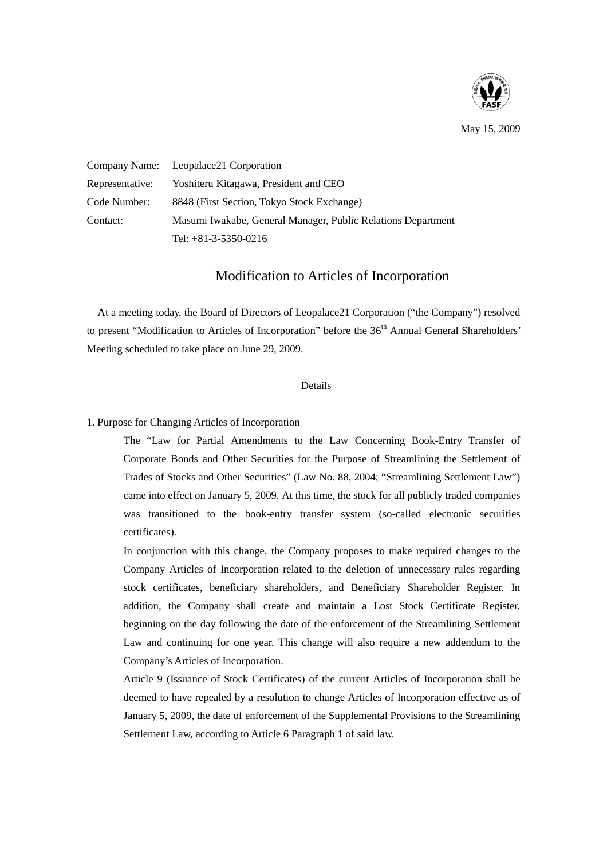

May 15, 2009

Company Name: Leopalace21 Corporation Representative: Yoshiteru Kitagawa, President and CEO Code Number: 8848 (First Section, Tokyo Stock Exchange) Contact: Masumi Iwakabe, General Manager, Public Relations Department Tel: +81-3-5350-0216

## Modification to Articles of Incorporation

At a meeting today, the Board of Directors of Leopalace21 Corporation ("the Company") resolved to present "Modification to Articles of Incorporation" before the  $36<sup>th</sup>$  Annual General Shareholders' Meeting scheduled to take place on June 29, 2009.

## Details

## 1. Purpose for Changing Articles of Incorporation

The "Law for Partial Amendments to the Law Concerning Book-Entry Transfer of Corporate Bonds and Other Securities for the Purpose of Streamlining the Settlement of Trades of Stocks and Other Securities" (Law No. 88, 2004; "Streamlining Settlement Law") came into effect on January 5, 2009. At this time, the stock for all publicly traded companies was transitioned to the book-entry transfer system (so-called electronic securities certificates).

In conjunction with this change, the Company proposes to make required changes to the Company Articles of Incorporation related to the deletion of unnecessary rules regarding stock certificates, beneficiary shareholders, and Beneficiary Shareholder Register. In addition, the Company shall create and maintain a Lost Stock Certificate Register, beginning on the day following the date of the enforcement of the Streamlining Settlement Law and continuing for one year. This change will also require a new addendum to the Company's Articles of Incorporation.

Article 9 (Issuance of Stock Certificates) of the current Articles of Incorporation shall be deemed to have repealed by a resolution to change Articles of Incorporation effective as of January 5, 2009, the date of enforcement of the Supplemental Provisions to the Streamlining Settlement Law, according to Article 6 Paragraph 1 of said law.